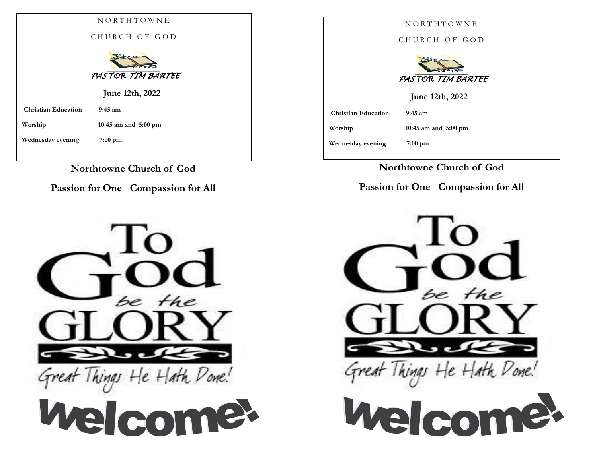|                            | NORTHTOWNE                     |
|----------------------------|--------------------------------|
|                            | CHURCH OF GOD                  |
|                            | PASTOR TIM BARTEE              |
|                            | June 12th, 2022                |
| <b>Christian Education</b> | $9:45$ am                      |
| Worship                    | 10:45 am and $5:00 \text{ pm}$ |
| Wednesday evening          | $7:00$ pm                      |
|                            |                                |

**Northtowne Church of God**

**Passion for One Compassion for All**



|                            | NORTHTOWNE                     |
|----------------------------|--------------------------------|
|                            | CHURCH OF GOD                  |
|                            | PASTOR TIM BARTEE              |
|                            | June 12th, 2022                |
| <b>Christian Education</b> | $9:45$ am                      |
| Worship                    | 10:45 am and $5:00 \text{ pm}$ |
| Wednesday evening          | $7:00$ pm                      |
|                            |                                |

**Northtowne Church of God**

**Passion for One Compassion for All**